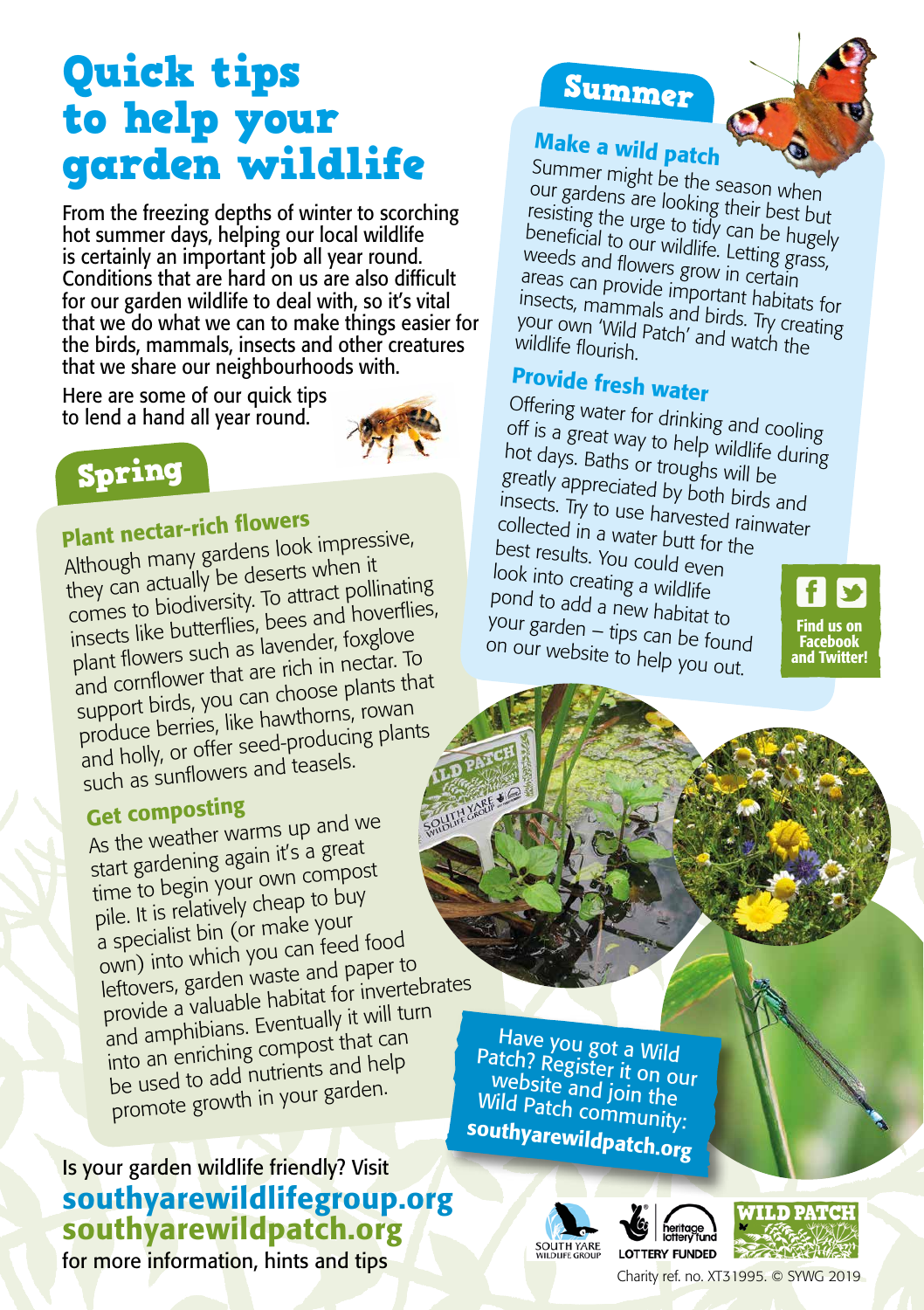# Quick tips to help your garden wildlife

From the freezing depths of winter to scorching hot summer days, helping our local wildlife is certainly an important job all year round. Conditions that are hard on us are also difficult for our garden wildlife to deal with, so it's vital that we do what we can to make things easier for the birds, mammals, insects and other creatures that we share our neighbourhoods with.

Here are some of our quick tips to lend a hand all year round.





## Plant nectar-rich flowers

Although many gardens look impressive, they can actually be deserts when it comes to biodiversity. To attract pollinating insects like butterflies, bees and hoverflies, plant flowers such as lavender, foxglove and cornflower that are rich in nectar. To support birds, you can choose plants that produce berries, like hawthorns, rowan and holly, or offer seed-producing plants such as sunflowers and teasels.

#### Get composting

As the weather warms up and we start gardening again it's a grea<sup>t</sup> time to begin your own compost pile. It is relatively cheap to buy a specialist bin (or make your own) into which you can feed food leftovers, garden waste and paper to provide a valuable habitat for invertebrates and amphibians. Eventually it will turn into an enriching compost that can be used to add nutrients and help promote growth in your garden.

#### southyarewildlifegroup.org southyarewildpatch.org Is your garden wildlife friendly? Visit

for more information, hints and tips Charity Research Content Charity ref. no. XT31995. © SYWG 2019

## Summer



## Make a wild patch

Summer might be the season when our gardens are looking their best but resisting the urge to tidy can be hugely beneficial to our wildlife. Letting grass, weeds and flowers grow in certain areas can provide important habitats for insects, mammals and birds. Try creating<br>your own 'Wild Patch' and watch the<br>wildlife flourish your own 'Wild Patch' and watch the wildlife flourish.

## Provide fresh water

Offering water for drinking and cooling off is a great way to help wildlife during hot days. Baths or troughs will be greatly appreciated by both birds and insects. Try to use harvested rainwater collected in a water butt for the best results. You could even look into creating a wildlife pond to add a new habitat to your garden – tips can be found on our website to help you out.

Find us on Facebook and Twitter!

Have you got a Wild Patch? Register it on our website and join the Wild Patch community: southyarewildpatch.org